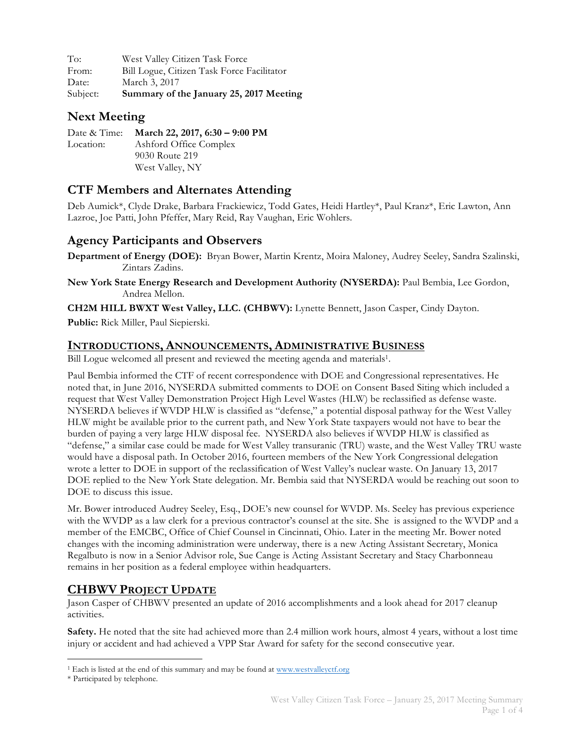To: West Valley Citizen Task Force From: Bill Logue, Citizen Task Force Facilitator Date: March 3, 2017 Subject: **Summary of the January 25, 2017 Meeting**

### **Next Meeting**

Date & Time: **March 22, 2017, 6:30 – 9:00 PM** Location: Ashford Office Complex 9030 Route 219 West Valley, NY

## **CTF Members and Alternates Attending**

Deb Aumick\*, Clyde Drake, Barbara Frackiewicz, Todd Gates, Heidi Hartley\*, Paul Kranz\*, Eric Lawton, Ann Lazroe, Joe Patti, John Pfeffer, Mary Reid, Ray Vaughan, Eric Wohlers.

### **Agency Participants and Observers**

**Department of Energy (DOE):** Bryan Bower, Martin Krentz, Moira Maloney, Audrey Seeley, Sandra Szalinski, Zintars Zadins.

**New York State Energy Research and Development Authority (NYSERDA):** Paul Bembia, Lee Gordon, Andrea Mellon.

**CH2M HILL BWXT West Valley, LLC. (CHBWV):** Lynette Bennett, Jason Casper, Cindy Dayton.

**Public:** Rick Miller, Paul Siepierski.

#### **INTRODUCTIONS, ANNOUNCEMENTS, ADMINISTRATIVE BUSINESS**

Bill Logue welcomed all present and reviewed the meeting agenda and materials<sup>1</sup>.

Paul Bembia informed the CTF of recent correspondence with DOE and Congressional representatives. He noted that, in June 2016, NYSERDA submitted comments to DOE on Consent Based Siting which included a request that West Valley Demonstration Project High Level Wastes (HLW) be reclassified as defense waste. NYSERDA believes if WVDP HLW is classified as "defense," a potential disposal pathway for the West Valley HLW might be available prior to the current path, and New York State taxpayers would not have to bear the burden of paying a very large HLW disposal fee. NYSERDA also believes if WVDP HLW is classified as "defense," a similar case could be made for West Valley transuranic (TRU) waste, and the West Valley TRU waste would have a disposal path. In October 2016, fourteen members of the New York Congressional delegation wrote a letter to DOE in support of the reclassification of West Valley's nuclear waste. On January 13, 2017 DOE replied to the New York State delegation. Mr. Bembia said that NYSERDA would be reaching out soon to DOE to discuss this issue.

Mr. Bower introduced Audrey Seeley, Esq., DOE's new counsel for WVDP. Ms. Seeley has previous experience with the WVDP as a law clerk for a previous contractor's counsel at the site. She is assigned to the WVDP and a member of the EMCBC, Office of Chief Counsel in Cincinnati, Ohio. Later in the meeting Mr. Bower noted changes with the incoming administration were underway, there is a new Acting Assistant Secretary, Monica Regalbuto is now in a Senior Advisor role, Sue Cange is Acting Assistant Secretary and Stacy Charbonneau remains in her position as a federal employee within headquarters.

### **CHBWV PROJECT UPDATE**

Jason Casper of CHBWV presented an update of 2016 accomplishments and a look ahead for 2017 cleanup activities.

**Safety.** He noted that the site had achieved more than 2.4 million work hours, almost 4 years, without a lost time injury or accident and had achieved a VPP Star Award for safety for the second consecutive year.

<sup>&</sup>lt;sup>1</sup> Each is listed at the end of this summary and may be found at www.westvalleyctf.org

<sup>\*</sup> Participated by telephone.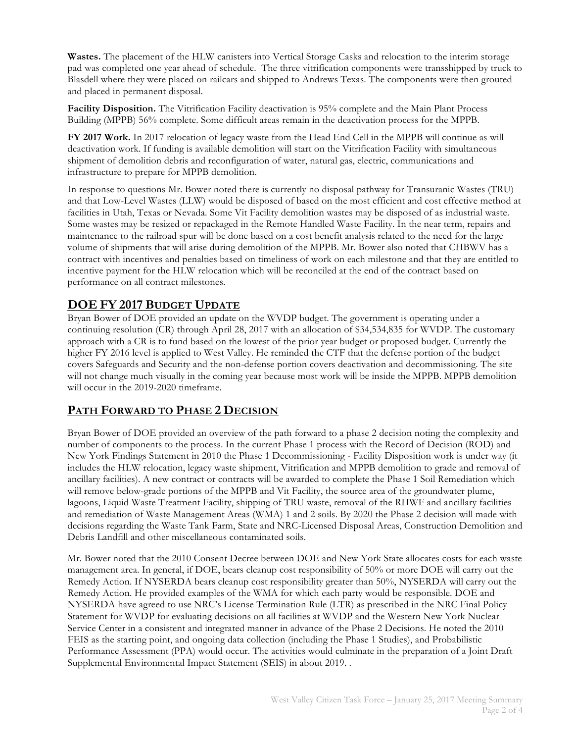**Wastes.** The placement of the HLW canisters into Vertical Storage Casks and relocation to the interim storage pad was completed one year ahead of schedule. The three vitrification components were transshipped by truck to Blasdell where they were placed on railcars and shipped to Andrews Texas. The components were then grouted and placed in permanent disposal.

**Facility Disposition.** The Vitrification Facility deactivation is 95% complete and the Main Plant Process Building (MPPB) 56% complete. Some difficult areas remain in the deactivation process for the MPPB.

**FY 2017 Work.** In 2017 relocation of legacy waste from the Head End Cell in the MPPB will continue as will deactivation work. If funding is available demolition will start on the Vitrification Facility with simultaneous shipment of demolition debris and reconfiguration of water, natural gas, electric, communications and infrastructure to prepare for MPPB demolition.

In response to questions Mr. Bower noted there is currently no disposal pathway for Transuranic Wastes (TRU) and that Low-Level Wastes (LLW) would be disposed of based on the most efficient and cost effective method at facilities in Utah, Texas or Nevada. Some Vit Facility demolition wastes may be disposed of as industrial waste. Some wastes may be resized or repackaged in the Remote Handled Waste Facility. In the near term, repairs and maintenance to the railroad spur will be done based on a cost benefit analysis related to the need for the large volume of shipments that will arise during demolition of the MPPB. Mr. Bower also noted that CHBWV has a contract with incentives and penalties based on timeliness of work on each milestone and that they are entitled to incentive payment for the HLW relocation which will be reconciled at the end of the contract based on performance on all contract milestones.

### **DOE FY 2017 BUDGET UPDATE**

Bryan Bower of DOE provided an update on the WVDP budget. The government is operating under a continuing resolution (CR) through April 28, 2017 with an allocation of \$34,534,835 for WVDP. The customary approach with a CR is to fund based on the lowest of the prior year budget or proposed budget. Currently the higher FY 2016 level is applied to West Valley. He reminded the CTF that the defense portion of the budget covers Safeguards and Security and the non-defense portion covers deactivation and decommissioning. The site will not change much visually in the coming year because most work will be inside the MPPB. MPPB demolition will occur in the 2019-2020 timeframe.

### **PATH FORWARD TO PHASE 2 DECISION**

Bryan Bower of DOE provided an overview of the path forward to a phase 2 decision noting the complexity and number of components to the process. In the current Phase 1 process with the Record of Decision (ROD) and New York Findings Statement in 2010 the Phase 1 Decommissioning - Facility Disposition work is under way (it includes the HLW relocation, legacy waste shipment, Vitrification and MPPB demolition to grade and removal of ancillary facilities). A new contract or contracts will be awarded to complete the Phase 1 Soil Remediation which will remove below-grade portions of the MPPB and Vit Facility, the source area of the groundwater plume, lagoons, Liquid Waste Treatment Facility, shipping of TRU waste, removal of the RHWF and ancillary facilities and remediation of Waste Management Areas (WMA) 1 and 2 soils. By 2020 the Phase 2 decision will made with decisions regarding the Waste Tank Farm, State and NRC-Licensed Disposal Areas, Construction Demolition and Debris Landfill and other miscellaneous contaminated soils.

Mr. Bower noted that the 2010 Consent Decree between DOE and New York State allocates costs for each waste management area. In general, if DOE, bears cleanup cost responsibility of 50% or more DOE will carry out the Remedy Action. If NYSERDA bears cleanup cost responsibility greater than 50%, NYSERDA will carry out the Remedy Action. He provided examples of the WMA for which each party would be responsible. DOE and NYSERDA have agreed to use NRC's License Termination Rule (LTR) as prescribed in the NRC Final Policy Statement for WVDP for evaluating decisions on all facilities at WVDP and the Western New York Nuclear Service Center in a consistent and integrated manner in advance of the Phase 2 Decisions. He noted the 2010 FEIS as the starting point, and ongoing data collection (including the Phase 1 Studies), and Probabilistic Performance Assessment (PPA) would occur. The activities would culminate in the preparation of a Joint Draft Supplemental Environmental Impact Statement (SEIS) in about 2019. .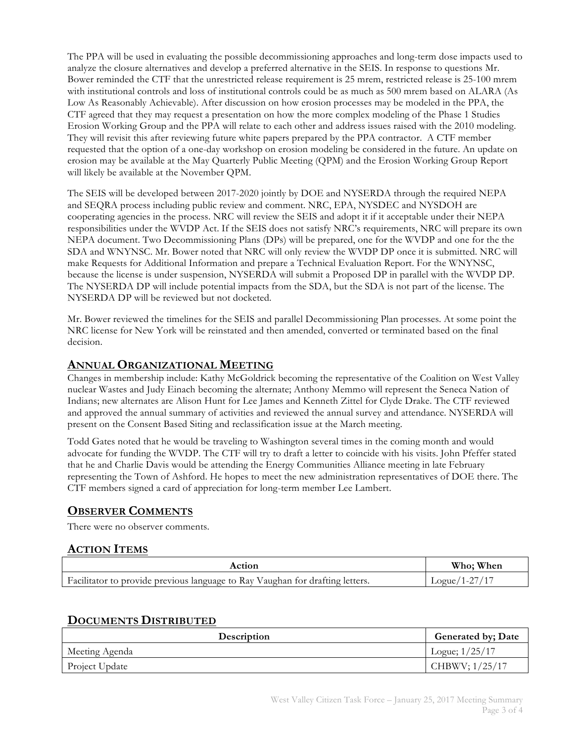The PPA will be used in evaluating the possible decommissioning approaches and long-term dose impacts used to analyze the closure alternatives and develop a preferred alternative in the SEIS. In response to questions Mr. Bower reminded the CTF that the unrestricted release requirement is 25 mrem, restricted release is 25-100 mrem with institutional controls and loss of institutional controls could be as much as 500 mrem based on ALARA (As Low As Reasonably Achievable). After discussion on how erosion processes may be modeled in the PPA, the CTF agreed that they may request a presentation on how the more complex modeling of the Phase 1 Studies Erosion Working Group and the PPA will relate to each other and address issues raised with the 2010 modeling. They will revisit this after reviewing future white papers prepared by the PPA contractor. A CTF member requested that the option of a one-day workshop on erosion modeling be considered in the future. An update on erosion may be available at the May Quarterly Public Meeting (QPM) and the Erosion Working Group Report will likely be available at the November QPM.

The SEIS will be developed between 2017-2020 jointly by DOE and NYSERDA through the required NEPA and SEQRA process including public review and comment. NRC, EPA, NYSDEC and NYSDOH are cooperating agencies in the process. NRC will review the SEIS and adopt it if it acceptable under their NEPA responsibilities under the WVDP Act. If the SEIS does not satisfy NRC's requirements, NRC will prepare its own NEPA document. Two Decommissioning Plans (DPs) will be prepared, one for the WVDP and one for the the SDA and WNYNSC. Mr. Bower noted that NRC will only review the WVDP DP once it is submitted. NRC will make Requests for Additional Information and prepare a Technical Evaluation Report. For the WNYNSC, because the license is under suspension, NYSERDA will submit a Proposed DP in parallel with the WVDP DP. The NYSERDA DP will include potential impacts from the SDA, but the SDA is not part of the license. The NYSERDA DP will be reviewed but not docketed.

Mr. Bower reviewed the timelines for the SEIS and parallel Decommissioning Plan processes. At some point the NRC license for New York will be reinstated and then amended, converted or terminated based on the final decision.

#### **ANNUAL ORGANIZATIONAL MEETING**

Changes in membership include: Kathy McGoldrick becoming the representative of the Coalition on West Valley nuclear Wastes and Judy Einach becoming the alternate; Anthony Memmo will represent the Seneca Nation of Indians; new alternates are Alison Hunt for Lee James and Kenneth Zittel for Clyde Drake. The CTF reviewed and approved the annual summary of activities and reviewed the annual survey and attendance. NYSERDA will present on the Consent Based Siting and reclassification issue at the March meeting.

Todd Gates noted that he would be traveling to Washington several times in the coming month and would advocate for funding the WVDP. The CTF will try to draft a letter to coincide with his visits. John Pfeffer stated that he and Charlie Davis would be attending the Energy Communities Alliance meeting in late February representing the Town of Ashford. He hopes to meet the new administration representatives of DOE there. The CTF members signed a card of appreciation for long-term member Lee Lambert.

# **OBSERVER COMMENTS**

There were no observer comments.

# **ACTION ITEMS**

| Action                                                                        | Who; When       |
|-------------------------------------------------------------------------------|-----------------|
| Facilitator to provide previous language to Ray Vaughan for drafting letters. | $Logue/1-27/17$ |

#### **DOCUMENTS DISTRIBUTED**

| <b>Description</b> | <b>Generated by; Date</b> |
|--------------------|---------------------------|
| Meeting Agenda     | Logue; $1/25/17$          |
| Project Update     | CHBWV; $1/25/17$          |